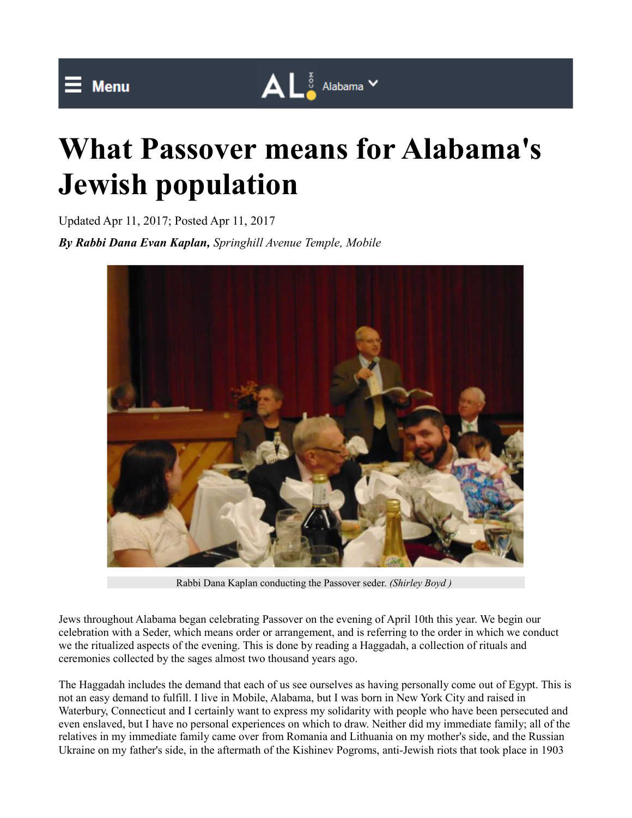## $\bar{=}$  Menu

## $\mathbf{A} \mathbf{L}^{\frac{1}{8}}$  Alabama  $\mathbf{v}$

## **What Passover means for Alabama's Jewish population**

Updated Apr 11, 2017; Posted Apr 11, 2017 *By Rabbi Dana Evan Kaplan, Springhill Avenue Temple, Mobile*



Rabbi Dana Kaplan conducting the Passover seder. *(Shirley Boyd )* 

Jews throughout Alabama began celebrating Passover on the evening of April 10th this year. We begin our celebration with a Seder, which means order or arrangement, and is referring to the order in which we conduct we the ritualized aspects of the evening. This is done by reading a Haggadah, a collection of rituals and ceremonies collected by the sages almost two thousand years ago.

The Haggadah includes the demand that each of us see ourselves as having personally come out of Egypt. This is not an easy demand to fulfill. I live in Mobile, Alabama, but I was born in New York City and raised in Waterbury, Connecticut and I certainly want to express my solidarity with people who have been persecuted and even enslaved, but I have no personal experiences on which to draw. Neither did my immediate family; all of the relatives in my immediate family came over from Romania and Lithuania on my mother's side, and the Russian Ukraine on my father's side, in the aftermath of the Kishinev Pogroms, anti-Jewish riots that took place in 1903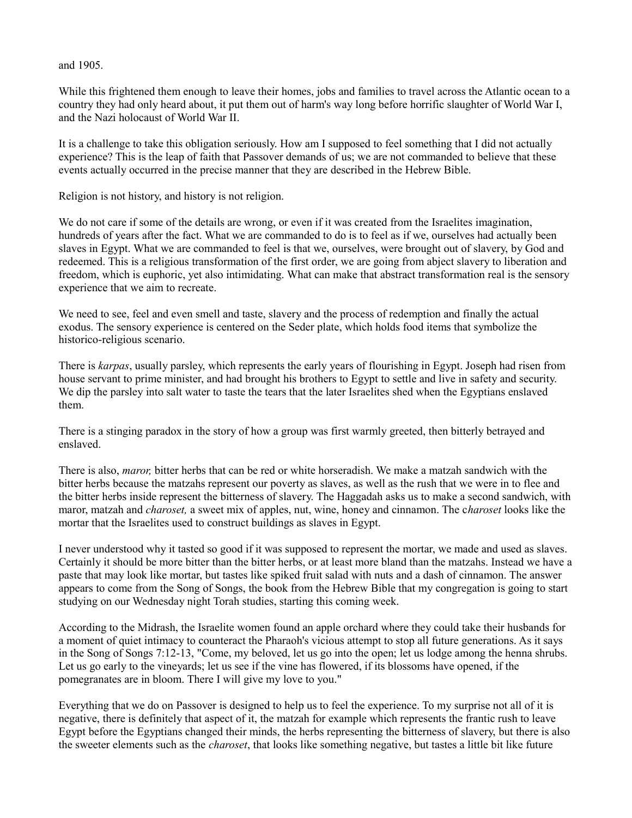## and 1905.

While this frightened them enough to leave their homes, jobs and families to travel across the Atlantic ocean to a country they had only heard about, it put them out of harm's way long before horrific slaughter of World War I, and the Nazi holocaust of World War II.

It is a challenge to take this obligation seriously. How am I supposed to feel something that I did not actually experience? This is the leap of faith that Passover demands of us; we are not commanded to believe that these events actually occurred in the precise manner that they are described in the Hebrew Bible.

Religion is not history, and history is not religion.

We do not care if some of the details are wrong, or even if it was created from the Israelites imagination, hundreds of years after the fact. What we are commanded to do is to feel as if we, ourselves had actually been slaves in Egypt. What we are commanded to feel is that we, ourselves, were brought out of slavery, by God and redeemed. This is a religious transformation of the first order, we are going from abject slavery to liberation and freedom, which is euphoric, yet also intimidating. What can make that abstract transformation real is the sensory experience that we aim to recreate.

We need to see, feel and even smell and taste, slavery and the process of redemption and finally the actual exodus. The sensory experience is centered on the Seder plate, which holds food items that symbolize the historico-religious scenario.

There is *karpas*, usually parsley, which represents the early years of flourishing in Egypt. Joseph had risen from house servant to prime minister, and had brought his brothers to Egypt to settle and live in safety and security. We dip the parsley into salt water to taste the tears that the later Israelites shed when the Egyptians enslaved them.

There is a stinging paradox in the story of how a group was first warmly greeted, then bitterly betrayed and enslaved.

There is also, *maror,* bitter herbs that can be red or white horseradish. We make a matzah sandwich with the bitter herbs because the matzahs represent our poverty as slaves, as well as the rush that we were in to flee and the bitter herbs inside represent the bitterness of slavery. The Haggadah asks us to make a second sandwich, with maror, matzah and *charoset,* a sweet mix of apples, nut, wine, honey and cinnamon. The c*haroset* looks like the mortar that the Israelites used to construct buildings as slaves in Egypt.

I never understood why it tasted so good if it was supposed to represent the mortar, we made and used as slaves. Certainly it should be more bitter than the bitter herbs, or at least more bland than the matzahs. Instead we have a paste that may look like mortar, but tastes like spiked fruit salad with nuts and a dash of cinnamon. The answer appears to come from the Song of Songs, the book from the Hebrew Bible that my congregation is going to start studying on our Wednesday night Torah studies, starting this coming week.

According to the Midrash, the Israelite women found an apple orchard where they could take their husbands for a moment of quiet intimacy to counteract the Pharaoh's vicious attempt to stop all future generations. As it says in the Song of Songs 7:12-13, "Come, my beloved, let us go into the open; let us lodge among the henna shrubs. Let us go early to the vineyards; let us see if the vine has flowered, if its blossoms have opened, if the pomegranates are in bloom. There I will give my love to you."

Everything that we do on Passover is designed to help us to feel the experience. To my surprise not all of it is negative, there is definitely that aspect of it, the matzah for example which represents the frantic rush to leave Egypt before the Egyptians changed their minds, the herbs representing the bitterness of slavery, but there is also the sweeter elements such as the *charoset*, that looks like something negative, but tastes a little bit like future